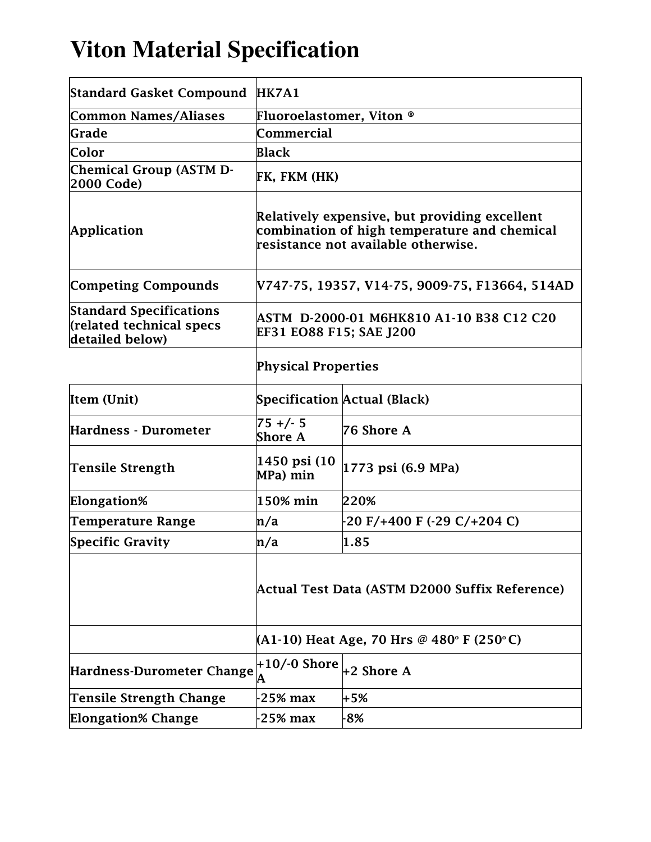## **Viton Material Specification**

| <b>Standard Gasket Compound HK7A1</b>                                         |                                                                                                                                      |                                     |  |
|-------------------------------------------------------------------------------|--------------------------------------------------------------------------------------------------------------------------------------|-------------------------------------|--|
| Common Names/Aliases                                                          | <b>Fluoroelastomer, Viton ®</b>                                                                                                      |                                     |  |
| Grade                                                                         | Commercial                                                                                                                           |                                     |  |
| Color                                                                         | <b>Black</b>                                                                                                                         |                                     |  |
| <b>Chemical Group (ASTM D-</b><br>2000 Code)                                  | FK, FKM (HK)                                                                                                                         |                                     |  |
| Application                                                                   | Relatively expensive, but providing excellent<br>combination of high temperature and chemical<br>resistance not available otherwise. |                                     |  |
| <b>Competing Compounds</b>                                                    | V747-75, 19357, V14-75, 9009-75, F13664, 514AD                                                                                       |                                     |  |
| <b>Standard Specifications</b><br>(related technical specs<br>detailed below) | ASTM D-2000-01 M6HK810 A1-10 B38 C12 C20<br>EF31 EO88 F15; SAE J200                                                                  |                                     |  |
|                                                                               | <b>Physical Properties</b>                                                                                                           |                                     |  |
| Item (Unit)                                                                   |                                                                                                                                      | <b>Specification Actual (Black)</b> |  |
| Hardness - Durometer                                                          | $75 + (-5)$<br><b>Shore A</b>                                                                                                        | 76 Shore A                          |  |
| Tensile Strength                                                              | 1450 psi (10<br>MPa) min                                                                                                             | 1773 psi (6.9 MPa)                  |  |
| Elongation%                                                                   | 150% min                                                                                                                             | 220%                                |  |
| <b>Temperature Range</b>                                                      | n/a                                                                                                                                  | -20 F/+400 F (-29 C/+204 C)         |  |
| <b>Specific Gravity</b>                                                       | n/a                                                                                                                                  | 1.85                                |  |
|                                                                               | Actual Test Data (ASTM D2000 Suffix Reference)                                                                                       |                                     |  |
|                                                                               | (A1-10) Heat Age, 70 Hrs @ 480° F (250°C)                                                                                            |                                     |  |
| Hardness-Durometer Change                                                     | $+10/-0$ Shore<br>А                                                                                                                  | $+2$ Shore A                        |  |
| <b>Tensile Strength Change</b>                                                | $25\%$ max                                                                                                                           | +5%                                 |  |
| <b>Elongation% Change</b>                                                     | $25%$ max                                                                                                                            | $-8%$                               |  |